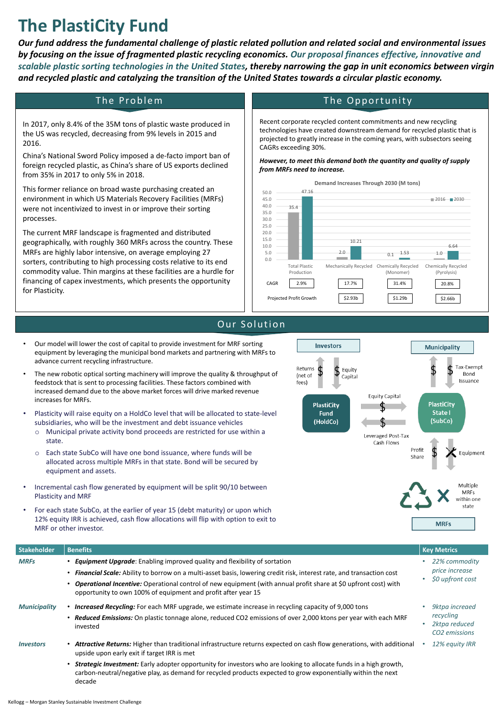# **The PlastiCity Fund**

*Our fund address the fundamental challenge of plastic related pollution and related social and environmental issues by focusing on the issue of fragmented plastic recycling economics. Our proposal finances effective, innovative and scalable plastic sorting technologies in the United States, thereby narrowing the gap in unit economics between virgin and recycled plastic and catalyzing the transition of the United States towards a circular plastic economy.* 

## The Problem

In 2017, only 8.4% of the 35M tons of plastic waste produced in the US was recycled, decreasing from 9% levels in 2015 and 2016.

China's National Sword Policy imposed a de-facto import ban of foreign recycled plastic, as China's share of US exports declined from 35% in 2017 to only 5% in 2018.

This former reliance on broad waste purchasing created an environment in which US Materials Recovery Facilities (MRFs) were not incentivized to invest in or improve their sorting processes.

The current MRF landscape is fragmented and distributed geographically, with roughly 360 MRFs across the country. These MRFs are highly labor intensive, on average employing 27 sorters, contributing to high processing costs relative to its end commodity value. Thin margins at these facilities are a hurdle for financing of capex investments, which presents the opportunity for Plasticity.

# The Opportunity

Recent corporate recycled content commitments and new recycling technologies have created downstream demand for recycled plastic that is projected to greatly increase in the coming years, with subsectors seeing CAGRs exceeding 30%.

*However, to meet this demand both the quantity and quality of supply from MRFs need to increase.*

- Our model will lower the cost of capital to provide investment for MRF sorting equipment by leveraging the municipal bond markets and partnering with MRFs to advance current recycling infrastructure.
- The new robotic optical sorting machinery will improve the quality & throughput of feedstock that is sent to processing facilities. These factors combined with increased demand due to the above market forces will drive marked revenue increases for MRFs.



- Plasticity will raise equity on a HoldCo level that will be allocated to state-level subsidiaries, who will be the investment and debt issuance vehicles
	- Municipal private activity bond proceeds are restricted for use within a state.
	- o Each state SubCo will have one bond issuance, where funds will be allocated across multiple MRFs in that state. Bond will be secured by equipment and assets.
- Incremental cash flow generated by equipment will be split 90/10 between Plasticity and MRF
- For each state SubCo, at the earlier of year 15 (debt maturity) or upon which 12% equity IRR is achieved, cash flow allocations will flip with option to exit to MRF or other investor.



#### **Demand Increases Through 2030 (M tons)**

### Our Solution

| Stakeholder             | <b>Benefits</b>                                                                                                                                                                                                                                                                                                                                                                             | <b>Key Metrics</b>                                                          |
|-------------------------|---------------------------------------------------------------------------------------------------------------------------------------------------------------------------------------------------------------------------------------------------------------------------------------------------------------------------------------------------------------------------------------------|-----------------------------------------------------------------------------|
| <b>MRFs</b>             | • Equipment Upgrade: Enabling improved quality and flexibility of sortation<br>• Financial Scale: Ability to borrow on a multi-asset basis, lowering credit risk, interest rate, and transaction cost<br>• Operational Incentive: Operational control of new equipment (with annual profit share at \$0 upfront cost) with<br>opportunity to own 100% of equipment and profit after year 15 | 22% commodity<br>price increase<br>\$0 upfront cost                         |
| <b>Municipality</b>     | <b>Increased Recycling:</b> For each MRF upgrade, we estimate increase in recycling capacity of 9,000 tons<br>• Reduced Emissions: On plastic tonnage alone, reduced CO2 emissions of over 2,000 ktons per year with each MRF<br>invested                                                                                                                                                   | <b>9ktpa</b> increaed<br>recycling<br>2ktpa reduced<br><b>CO2</b> emissions |
| <i><b>Investors</b></i> | • Attractive Returns: Higher than traditional infrastructure returns expected on cash flow generations, with additional<br>upside upon early exit if target IRR is met                                                                                                                                                                                                                      | 12% equity IRR                                                              |
|                         | Strategic Investment: Early adopter opportunity for investors who are looking to allocate funds in a high growth,<br>carbon-neutral/negative play, as demand for recycled products expected to grow exponentially within the next<br>decade                                                                                                                                                 |                                                                             |